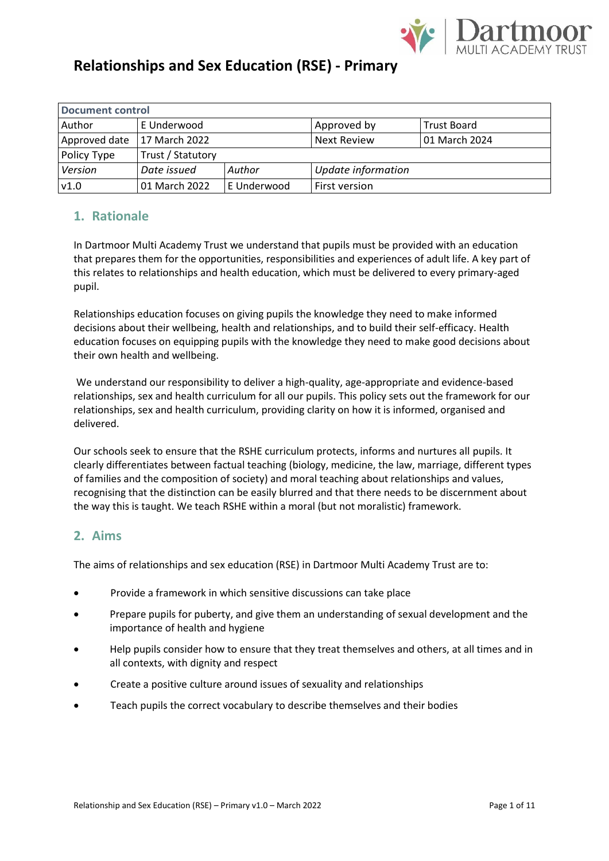

| <b>Document control</b> |                   |             |                    |                    |  |
|-------------------------|-------------------|-------------|--------------------|--------------------|--|
| Author                  | E Underwood       |             | Approved by        | <b>Trust Board</b> |  |
| Approved date           | 17 March 2022     |             | <b>Next Review</b> | 01 March 2024      |  |
| Policy Type             | Trust / Statutory |             |                    |                    |  |
| Version                 | Date issued       | Author      | Update information |                    |  |
| v1.0                    | 01 March 2022     | E Underwood | First version      |                    |  |

### **1. Rationale**

In Dartmoor Multi Academy Trust we understand that pupils must be provided with an education that prepares them for the opportunities, responsibilities and experiences of adult life. A key part of this relates to relationships and health education, which must be delivered to every primary-aged pupil.

Relationships education focuses on giving pupils the knowledge they need to make informed decisions about their wellbeing, health and relationships, and to build their self-efficacy. Health education focuses on equipping pupils with the knowledge they need to make good decisions about their own health and wellbeing.

We understand our responsibility to deliver a high-quality, age-appropriate and evidence-based relationships, sex and health curriculum for all our pupils. This policy sets out the framework for our relationships, sex and health curriculum, providing clarity on how it is informed, organised and delivered.

Our schools seek to ensure that the RSHE curriculum protects, informs and nurtures all pupils. It clearly differentiates between factual teaching (biology, medicine, the law, marriage, different types of families and the composition of society) and moral teaching about relationships and values, recognising that the distinction can be easily blurred and that there needs to be discernment about the way this is taught. We teach RSHE within a moral (but not moralistic) framework.

### **2. Aims**

The aims of relationships and sex education (RSE) in Dartmoor Multi Academy Trust are to:

- Provide a framework in which sensitive discussions can take place
- Prepare pupils for puberty, and give them an understanding of sexual development and the importance of health and hygiene
- Help pupils consider how to ensure that they treat themselves and others, at all times and in all contexts, with dignity and respect
- Create a positive culture around issues of sexuality and relationships
- Teach pupils the correct vocabulary to describe themselves and their bodies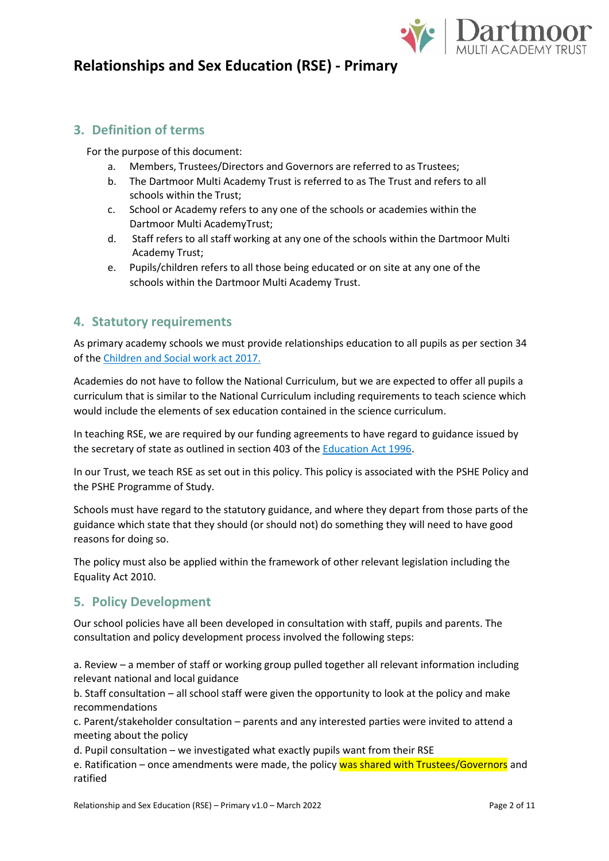

### **3. Definition of terms**

For the purpose of this document:

- a. Members, Trustees/Directors and Governors are referred to as Trustees;
- b. The Dartmoor Multi Academy Trust is referred to as The Trust and refers to all schools within the Trust;
- c. School or Academy refers to any one of the schools or academies within the Dartmoor Multi AcademyTrust;
- d. Staff refers to all staff working at any one of the schools within the Dartmoor Multi Academy Trust;
- e. Pupils/children refers to all those being educated or on site at any one of the schools within the Dartmoor Multi Academy Trust.

#### **4. Statutory requirements**

As primary academy schools we must provide relationships education to all pupils as per section 34 of the [Children and Social work act 2017.](http://www.legislation.gov.uk/ukpga/2017/16/section/34/enacted)

Academies do not have to follow the National Curriculum, but we are expected to offer all pupils a curriculum that is similar to the National Curriculum including requirements to teach science which would include the elements of sex education contained in the science curriculum.

In teaching RSE, we are required by our funding agreements to have regard to guidance issued by the secretary of state as outlined in section 403 of th[e Education Act 1996.](http://www.legislation.gov.uk/ukpga/1996/56/contents)

In our Trust, we teach RSE as set out in this policy. This policy is associated with the PSHE Policy and the PSHE Programme of Study.

Schools must have regard to the statutory guidance, and where they depart from those parts of the guidance which state that they should (or should not) do something they will need to have good reasons for doing so.

The policy must also be applied within the framework of other relevant legislation including the Equality Act 2010.

### **5. Policy Development**

Our school policies have all been developed in consultation with staff, pupils and parents. The consultation and policy development process involved the following steps:

a. Review – a member of staff or working group pulled together all relevant information including relevant national and local guidance

b. Staff consultation – all school staff were given the opportunity to look at the policy and make recommendations

c. Parent/stakeholder consultation – parents and any interested parties were invited to attend a meeting about the policy

d. Pupil consultation – we investigated what exactly pupils want from their RSE

e. Ratification – once amendments were made, the policy was shared with Trustees/Governors and ratified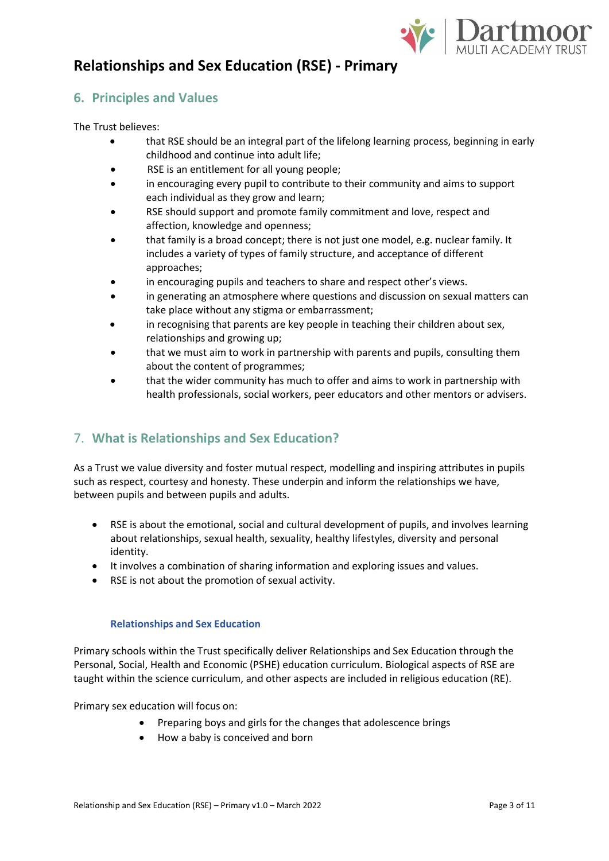

### **6. Principles and Values**

The Trust believes:

- that RSE should be an integral part of the lifelong learning process, beginning in early childhood and continue into adult life;
- RSE is an entitlement for all young people;
- in encouraging every pupil to contribute to their community and aims to support each individual as they grow and learn;
- RSE should support and promote family commitment and love, respect and affection, knowledge and openness;
- that family is a broad concept; there is not just one model, e.g. nuclear family. It includes a variety of types of family structure, and acceptance of different approaches;
- in encouraging pupils and teachers to share and respect other's views.
- in generating an atmosphere where questions and discussion on sexual matters can take place without any stigma or embarrassment;
- in recognising that parents are key people in teaching their children about sex, relationships and growing up;
- that we must aim to work in partnership with parents and pupils, consulting them about the content of programmes;
- that the wider community has much to offer and aims to work in partnership with health professionals, social workers, peer educators and other mentors or advisers.

## 7. **What is Relationships and Sex Education?**

As a Trust we value diversity and foster mutual respect, modelling and inspiring attributes in pupils such as respect, courtesy and honesty. These underpin and inform the relationships we have, between pupils and between pupils and adults.

- RSE is about the emotional, social and cultural development of pupils, and involves learning about relationships, sexual health, sexuality, healthy lifestyles, diversity and personal identity.
- It involves a combination of sharing information and exploring issues and values.
- RSE is not about the promotion of sexual activity.

#### **Relationships and Sex Education**

Primary schools within the Trust specifically deliver Relationships and Sex Education through the Personal, Social, Health and Economic (PSHE) education curriculum. Biological aspects of RSE are taught within the science curriculum, and other aspects are included in religious education (RE).

Primary sex education will focus on:

- Preparing boys and girls for the changes that adolescence brings
- How a baby is conceived and born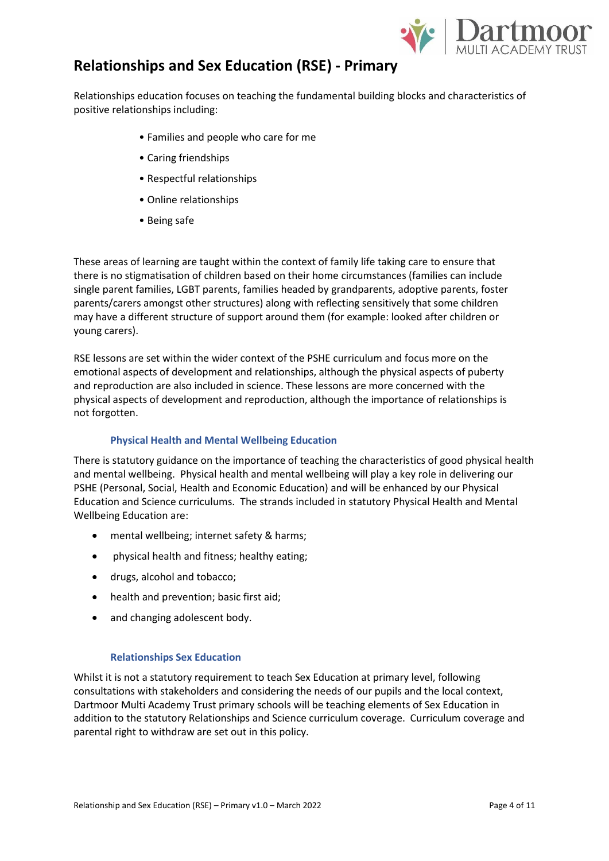

Relationships education focuses on teaching the fundamental building blocks and characteristics of positive relationships including:

- Families and people who care for me
- Caring friendships
- Respectful relationships
- Online relationships
- Being safe

These areas of learning are taught within the context of family life taking care to ensure that there is no stigmatisation of children based on their home circumstances (families can include single parent families, LGBT parents, families headed by grandparents, adoptive parents, foster parents/carers amongst other structures) along with reflecting sensitively that some children may have a different structure of support around them (for example: looked after children or young carers).

RSE lessons are set within the wider context of the PSHE curriculum and focus more on the emotional aspects of development and relationships, although the physical aspects of puberty and reproduction are also included in science. These lessons are more concerned with the physical aspects of development and reproduction, although the importance of relationships is not forgotten.

#### **Physical Health and Mental Wellbeing Education**

There is statutory guidance on the importance of teaching the characteristics of good physical health and mental wellbeing. Physical health and mental wellbeing will play a key role in delivering our PSHE (Personal, Social, Health and Economic Education) and will be enhanced by our Physical Education and Science curriculums. The strands included in statutory Physical Health and Mental Wellbeing Education are:

- mental wellbeing; internet safety & harms;
- physical health and fitness; healthy eating;
- drugs, alcohol and tobacco;
- health and prevention; basic first aid;
- and changing adolescent body.

#### **Relationships Sex Education**

Whilst it is not a statutory requirement to teach Sex Education at primary level, following consultations with stakeholders and considering the needs of our pupils and the local context, Dartmoor Multi Academy Trust primary schools will be teaching elements of Sex Education in addition to the statutory Relationships and Science curriculum coverage. Curriculum coverage and parental right to withdraw are set out in this policy.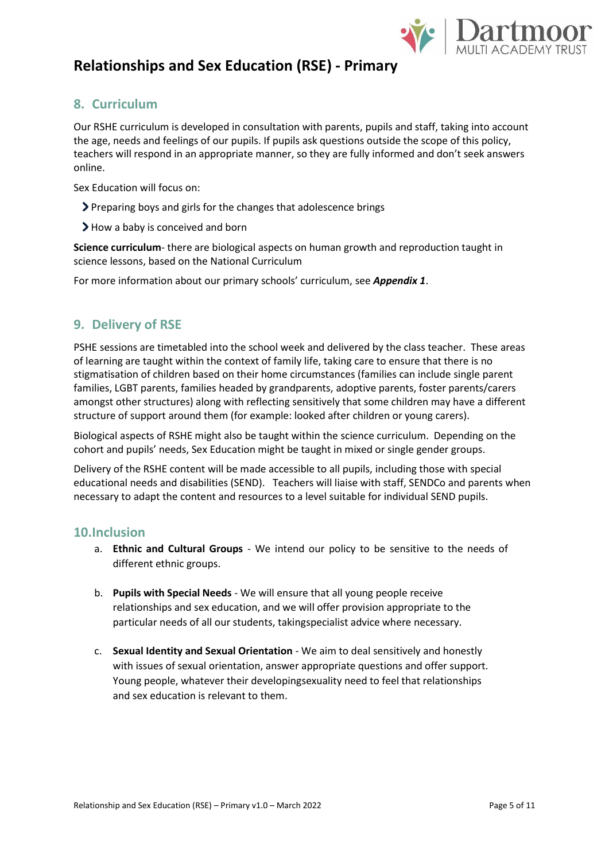

#### **8. Curriculum**

Our RSHE curriculum is developed in consultation with parents, pupils and staff, taking into account the age, needs and feelings of our pupils. If pupils ask questions outside the scope of this policy, teachers will respond in an appropriate manner, so they are fully informed and don't seek answers online.

Sex Education will focus on:

- Preparing boys and girls for the changes that adolescence brings
- > How a baby is conceived and born

**Science curriculum**- there are biological aspects on human growth and reproduction taught in science lessons, based on the National Curriculum

For more information about our primary schools' curriculum, see *Appendix 1*.

### **9. Delivery of RSE**

PSHE sessions are timetabled into the school week and delivered by the class teacher. These areas of learning are taught within the context of family life, taking care to ensure that there is no stigmatisation of children based on their home circumstances (families can include single parent families, LGBT parents, families headed by grandparents, adoptive parents, foster parents/carers amongst other structures) along with reflecting sensitively that some children may have a different structure of support around them (for example: looked after children or young carers).

Biological aspects of RSHE might also be taught within the science curriculum. Depending on the cohort and pupils' needs, Sex Education might be taught in mixed or single gender groups.

Delivery of the RSHE content will be made accessible to all pupils, including those with special educational needs and disabilities (SEND). Teachers will liaise with staff, SENDCo and parents when necessary to adapt the content and resources to a level suitable for individual SEND pupils.

#### **10.Inclusion**

- a. **Ethnic and Cultural Groups** We intend our policy to be sensitive to the needs of different ethnic groups.
- b. **Pupils with Special Needs**  We will ensure that all young people receive relationships and sex education, and we will offer provision appropriate to the particular needs of all our students, takingspecialist advice where necessary.
- c. **Sexual Identity and Sexual Orientation** *-* We aim to deal sensitively and honestly with issues of sexual orientation, answer appropriate questions and offer support. Young people, whatever their developingsexuality need to feel that relationships and sex education is relevant to them.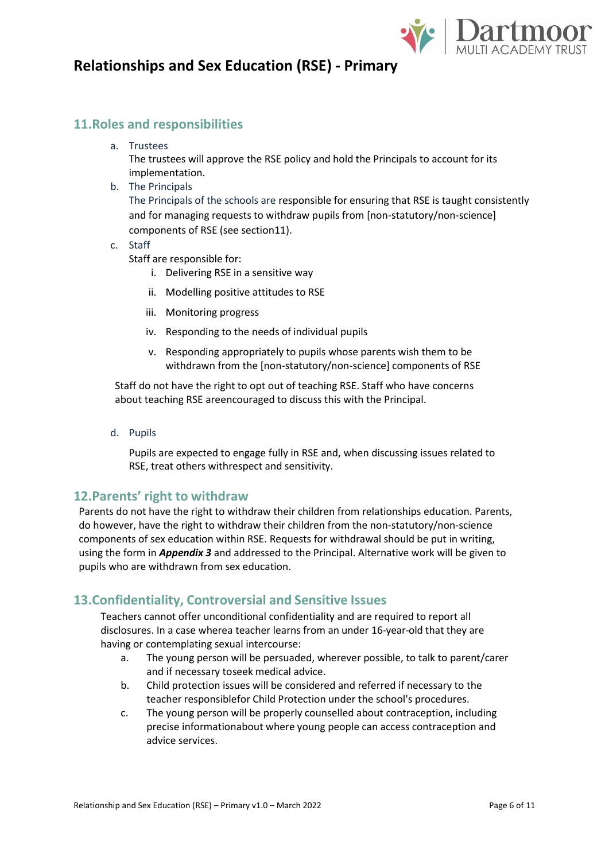

#### **11.Roles and responsibilities**

a. Trustees

The trustees will approve the RSE policy and hold the Principals to account for its implementation.

b. The Principals

The Principals of the schools are responsible for ensuring that RSE is taught consistently and for managing requests to withdraw pupils from [non-statutory/non-science] components of RSE (see section11).

c. Staff

Staff are responsible for:

- i. Delivering RSE in a sensitive way
- ii. Modelling positive attitudes to RSE
- iii. Monitoring progress
- iv. Responding to the needs of individual pupils
- v. Responding appropriately to pupils whose parents wish them to be withdrawn from the [non-statutory/non-science] components of RSE

Staff do not have the right to opt out of teaching RSE. Staff who have concerns about teaching RSE areencouraged to discuss this with the Principal.

d. Pupils

Pupils are expected to engage fully in RSE and, when discussing issues related to RSE, treat others withrespect and sensitivity.

#### **12.Parents' right to withdraw**

Parents do not have the right to withdraw their children from relationships education. Parents, do however, have the right to withdraw their children from the non-statutory/non-science components of sex education within RSE. Requests for withdrawal should be put in writing, using the form in *Appendix 3* and addressed to the Principal. Alternative work will be given to pupils who are withdrawn from sex education.

#### **13.Confidentiality, Controversial and Sensitive Issues**

Teachers cannot offer unconditional confidentiality and are required to report all disclosures. In a case wherea teacher learns from an under 16-year-old that they are having or contemplating sexual intercourse:

- a. The young person will be persuaded, wherever possible, to talk to parent/carer and if necessary toseek medical advice.
- b. Child protection issues will be considered and referred if necessary to the teacher responsiblefor Child Protection under the school's procedures.
- c. The young person will be properly counselled about contraception, including precise informationabout where young people can access contraception and advice services.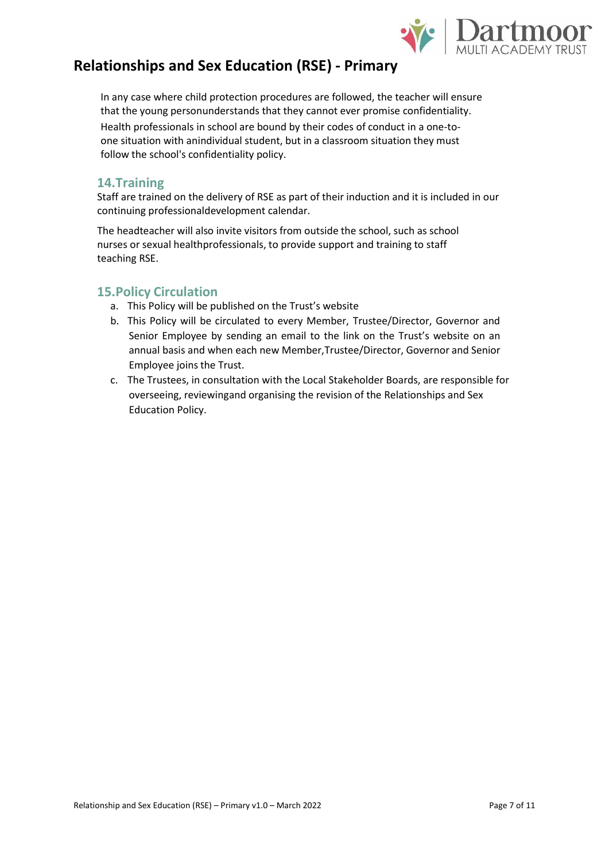

In any case where child protection procedures are followed, the teacher will ensure that the young personunderstands that they cannot ever promise confidentiality. Health professionals in school are bound by their codes of conduct in a one-toone situation with anindividual student, but in a classroom situation they must follow the school's confidentiality policy.

#### **14.Training**

Staff are trained on the delivery of RSE as part of their induction and it is included in our continuing professionaldevelopment calendar.

The headteacher will also invite visitors from outside the school, such as school nurses or sexual healthprofessionals, to provide support and training to staff teaching RSE.

#### **15.Policy Circulation**

- a. This Policy will be published on the Trust's website
- b. This Policy will be circulated to every Member, Trustee/Director, Governor and Senior Employee by sending an email to the link on the Trust's website on an annual basis and when each new Member,Trustee/Director, Governor and Senior Employee joins the Trust.
- c. The Trustees, in consultation with the Local Stakeholder Boards, are responsible for overseeing, reviewingand organising the revision of the Relationships and Sex Education Policy.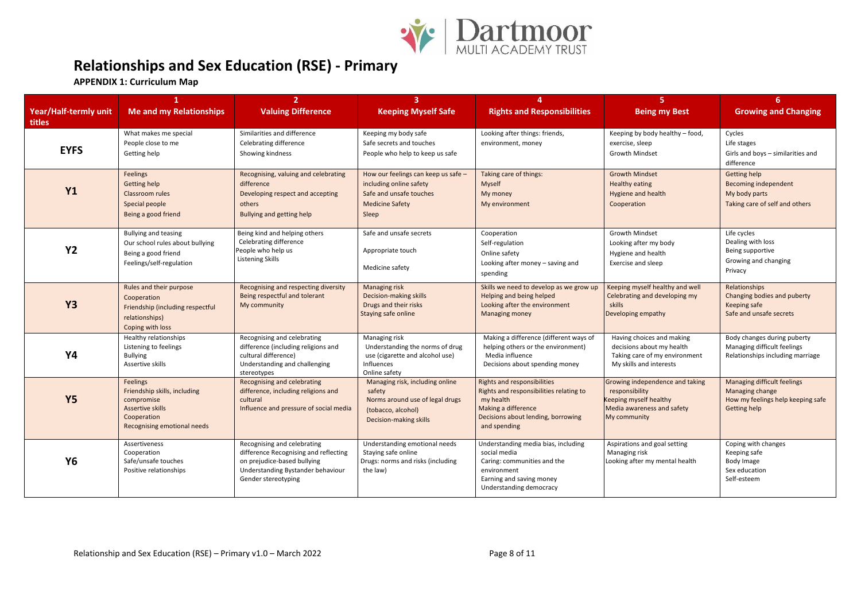

**APPENDIX 1: Curriculum Map**

| Year/Half-termly unit<br>titles | 1<br><b>Me and my Relationships</b>                                                                                             | $\overline{2}$<br><b>Valuing Difference</b>                                                                                                                     | $\overline{3}$<br><b>Keeping Myself Safe</b>                                                                                 | 4<br><b>Rights and Responsibilities</b>                                                                                                                                 | 5.<br><b>Being my Best</b>                                                                                                | 6<br><b>Growing and Changing</b>                                                                    |
|---------------------------------|---------------------------------------------------------------------------------------------------------------------------------|-----------------------------------------------------------------------------------------------------------------------------------------------------------------|------------------------------------------------------------------------------------------------------------------------------|-------------------------------------------------------------------------------------------------------------------------------------------------------------------------|---------------------------------------------------------------------------------------------------------------------------|-----------------------------------------------------------------------------------------------------|
| <b>EYFS</b>                     | What makes me special<br>People close to me<br>Getting help                                                                     | Similarities and difference<br>Celebrating difference<br>Showing kindness                                                                                       | Keeping my body safe<br>Safe secrets and touches<br>People who help to keep us safe                                          | Looking after things: friends,<br>environment, money                                                                                                                    | Keeping by body healthy – food,<br>exercise, sleep<br><b>Growth Mindset</b>                                               | Cycles<br>Life stages<br>Girls and boys - similarities and<br>difference                            |
| <b>Y1</b>                       | <b>Feelings</b><br><b>Getting help</b><br>Classroom rules<br>Special people<br>Being a good friend                              | Recognising, valuing and celebrating<br>difference<br>Developing respect and accepting<br>others<br>Bullying and getting help                                   | How our feelings can keep us safe -<br>including online safety<br>Safe and unsafe touches<br><b>Medicine Safety</b><br>Sleep | Taking care of things:<br>Myself<br>My money<br>My environment                                                                                                          | <b>Growth Mindset</b><br><b>Healthy eating</b><br>Hygiene and health<br>Cooperation                                       | Getting help<br><b>Becoming independent</b><br>My body parts<br>Taking care of self and others      |
| <b>Y2</b>                       | Bullying and teasing<br>Our school rules about bullying<br>Being a good friend<br>Feelings/self-regulation                      | Being kind and helping others<br>Celebrating difference<br>People who help us<br>Listening Skills                                                               | Safe and unsafe secrets<br>Appropriate touch<br>Medicine safety                                                              | Cooperation<br>Self-regulation<br>Online safety<br>Looking after money - saving and<br>spending                                                                         | <b>Growth Mindset</b><br>Looking after my body<br>Hygiene and health<br><b>Exercise and sleep</b>                         | Life cycles<br>Dealing with loss<br>Being supportive<br>Growing and changing<br>Privacy             |
| <b>Y3</b>                       | Rules and their purpose<br>Cooperation<br>Friendship (including respectful<br>relationships)<br>Coping with loss                | Recognising and respecting diversity<br>Being respectful and tolerant<br>My community                                                                           | Managing risk<br>Decision-making skills<br>Drugs and their risks<br>Staying safe online                                      | Skills we need to develop as we grow up<br>Helping and being helped<br>Looking after the environment<br>Managing money                                                  | Keeping myself healthy and well<br>Celebrating and developing my<br>skills<br>Developing empathy                          | Relationships<br>Changing bodies and puberty<br>Keeping safe<br>Safe and unsafe secrets             |
| <b>Y4</b>                       | Healthy relationships<br>Listening to feelings<br><b>Bullying</b><br>Assertive skills                                           | Recognising and celebrating<br>difference (including religions and<br>cultural difference)<br>Understanding and challenging<br>stereotypes                      | Managing risk<br>Understanding the norms of drug<br>use (cigarette and alcohol use)<br>Influences<br>Online safety           | Making a difference (different ways of<br>helping others or the environment)<br>Media influence<br>Decisions about spending money                                       | Having choices and making<br>decisions about my health<br>Taking care of my environment<br>My skills and interests        | Body changes during puberty<br>Managing difficult feelings<br>Relationships including marriage      |
| <b>Y5</b>                       | <b>Feelings</b><br>Friendship skills, including<br>compromise<br>Assertive skills<br>Cooperation<br>Recognising emotional needs | Recognising and celebrating<br>difference, including religions and<br>cultural<br>Influence and pressure of social media                                        | Managing risk, including online<br>safety<br>Norms around use of legal drugs<br>(tobacco, alcohol)<br>Decision-making skills | <b>Rights and responsibilities</b><br>Rights and responsibilities relating to<br>my health<br>Making a difference<br>Decisions about lending, borrowing<br>and spending | Growing independence and taking<br>responsibility<br>Keeping myself healthy<br>Media awareness and safety<br>My community | Managing difficult feelings<br>Managing change<br>How my feelings help keeping safe<br>Getting help |
| <b>Y6</b>                       | Assertiveness<br>Cooperation<br>Safe/unsafe touches<br>Positive relationships                                                   | Recognising and celebrating<br>difference Recognising and reflecting<br>on prejudice-based bullying<br>Understanding Bystander behaviour<br>Gender stereotyping | Understanding emotional needs<br>Staying safe online<br>Drugs: norms and risks (including<br>the law)                        | Understanding media bias, including<br>social media<br>Caring: communities and the<br>environment<br>Earning and saving money<br>Understanding democracy                | Aspirations and goal setting<br>Managing risk<br>Looking after my mental health                                           | Coping with changes<br>Keeping safe<br>Body Image<br>Sex education<br>Self-esteem                   |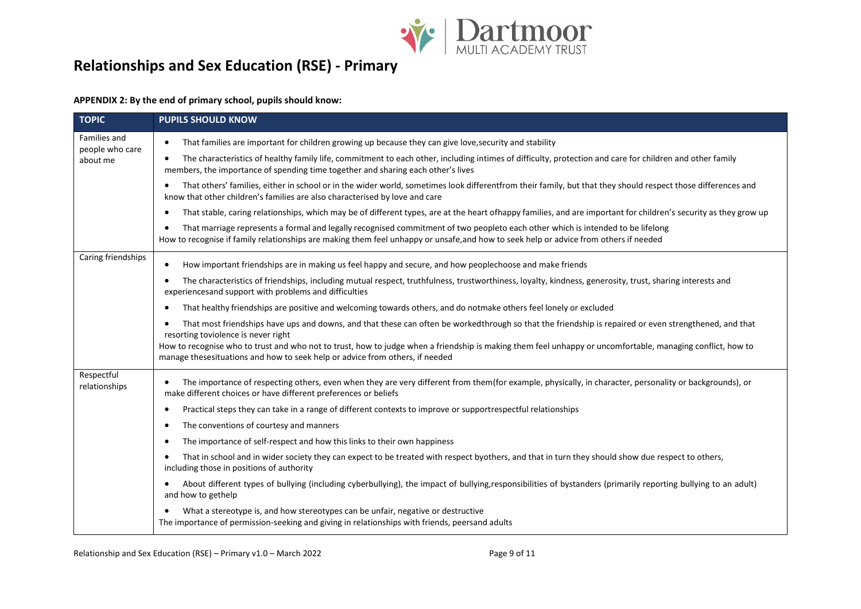

#### **APPENDIX 2: By the end of primary school, pupils should know:**

| <b>TOPIC</b>                                | <b>PUPILS SHOULD KNOW</b>                                                                                                                                                                                                                                                     |  |  |
|---------------------------------------------|-------------------------------------------------------------------------------------------------------------------------------------------------------------------------------------------------------------------------------------------------------------------------------|--|--|
| Families and<br>people who care<br>about me | That families are important for children growing up because they can give love, security and stability                                                                                                                                                                        |  |  |
|                                             | The characteristics of healthy family life, commitment to each other, including intimes of difficulty, protection and care for children and other family<br>members, the importance of spending time together and sharing each other's lives                                  |  |  |
|                                             | That others' families, either in school or in the wider world, sometimes look differentfrom their family, but that they should respect those differences and<br>know that other children's families are also characterised by love and care                                   |  |  |
|                                             | That stable, caring relationships, which may be of different types, are at the heart ofhappy families, and are important for children's security as they grow up<br>٠                                                                                                         |  |  |
|                                             | That marriage represents a formal and legally recognised commitment of two peopleto each other which is intended to be lifelong<br>٠<br>How to recognise if family relationships are making them feel unhappy or unsafe, and how to seek help or advice from others if needed |  |  |
| Caring friendships                          | How important friendships are in making us feel happy and secure, and how peoplechoose and make friends<br>٠                                                                                                                                                                  |  |  |
|                                             | The characteristics of friendships, including mutual respect, truthfulness, trustworthiness, loyalty, kindness, generosity, trust, sharing interests and<br>experiencesand support with problems and difficulties                                                             |  |  |
|                                             | That healthy friendships are positive and welcoming towards others, and do notmake others feel lonely or excluded<br>$\bullet$                                                                                                                                                |  |  |
|                                             | That most friendships have ups and downs, and that these can often be workedthrough so that the friendship is repaired or even strengthened, and that<br>resorting toviolence is never right                                                                                  |  |  |
|                                             | How to recognise who to trust and who not to trust, how to judge when a friendship is making them feel unhappy or uncomfortable, managing conflict, how to<br>manage thesesituations and how to seek help or advice from others, if needed                                    |  |  |
| Respectful<br>relationships                 | The importance of respecting others, even when they are very different from them(for example, physically, in character, personality or backgrounds), or<br>make different choices or have different preferences or beliefs                                                    |  |  |
|                                             | Practical steps they can take in a range of different contexts to improve or supportrespectful relationships<br>٠                                                                                                                                                             |  |  |
|                                             | The conventions of courtesy and manners<br>٠                                                                                                                                                                                                                                  |  |  |
|                                             | The importance of self-respect and how this links to their own happiness<br>٠                                                                                                                                                                                                 |  |  |
|                                             | That in school and in wider society they can expect to be treated with respect byothers, and that in turn they should show due respect to others,<br>including those in positions of authority                                                                                |  |  |
|                                             | About different types of bullying (including cyberbullying), the impact of bullying, responsibilities of bystanders (primarily reporting bullying to an adult)<br>$\bullet$<br>and how to gethelp                                                                             |  |  |
|                                             | What a stereotype is, and how stereotypes can be unfair, negative or destructive<br>The importance of permission-seeking and giving in relationships with friends, peersand adults                                                                                            |  |  |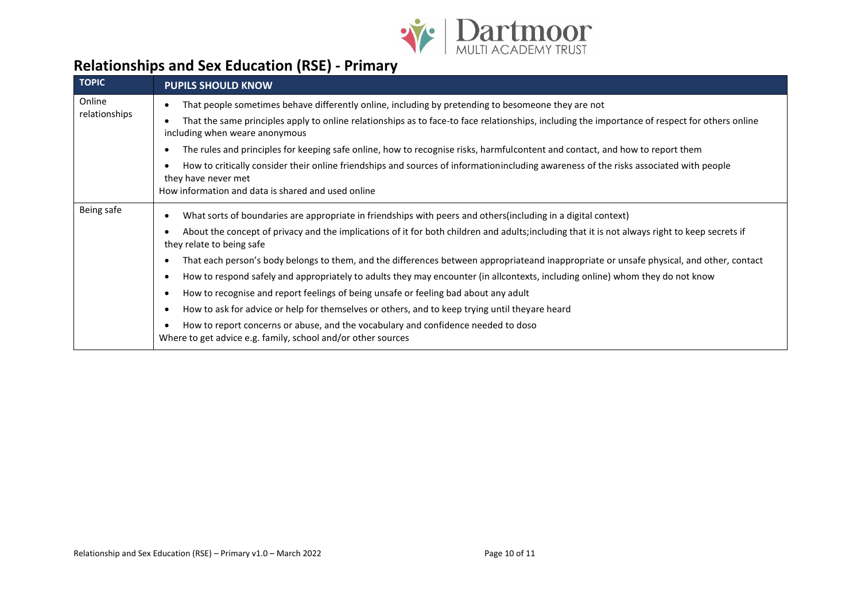

| <b>TOPIC</b>            | <b>PUPILS SHOULD KNOW</b>                                                                                                                                                        |  |  |  |
|-------------------------|----------------------------------------------------------------------------------------------------------------------------------------------------------------------------------|--|--|--|
| Online<br>relationships | That people sometimes behave differently online, including by pretending to besomeone they are not                                                                               |  |  |  |
|                         | That the same principles apply to online relationships as to face-to face relationships, including the importance of respect for others online<br>including when weare anonymous |  |  |  |
|                         | The rules and principles for keeping safe online, how to recognise risks, harmfulcontent and contact, and how to report them                                                     |  |  |  |
|                         | How to critically consider their online friendships and sources of informationincluding awareness of the risks associated with people<br>they have never met                     |  |  |  |
|                         | How information and data is shared and used online                                                                                                                               |  |  |  |
| Being safe              | What sorts of boundaries are appropriate in friendships with peers and others(including in a digital context)                                                                    |  |  |  |
|                         | About the concept of privacy and the implications of it for both children and adults; including that it is not always right to keep secrets if<br>they relate to being safe      |  |  |  |
|                         | That each person's body belongs to them, and the differences between appropriateand inappropriate or unsafe physical, and other, contact                                         |  |  |  |
|                         | How to respond safely and appropriately to adults they may encounter (in allcontexts, including online) whom they do not know                                                    |  |  |  |
|                         | How to recognise and report feelings of being unsafe or feeling bad about any adult                                                                                              |  |  |  |
|                         | How to ask for advice or help for themselves or others, and to keep trying until theyare heard                                                                                   |  |  |  |
|                         | How to report concerns or abuse, and the vocabulary and confidence needed to doso<br>Where to get advice e.g. family, school and/or other sources                                |  |  |  |